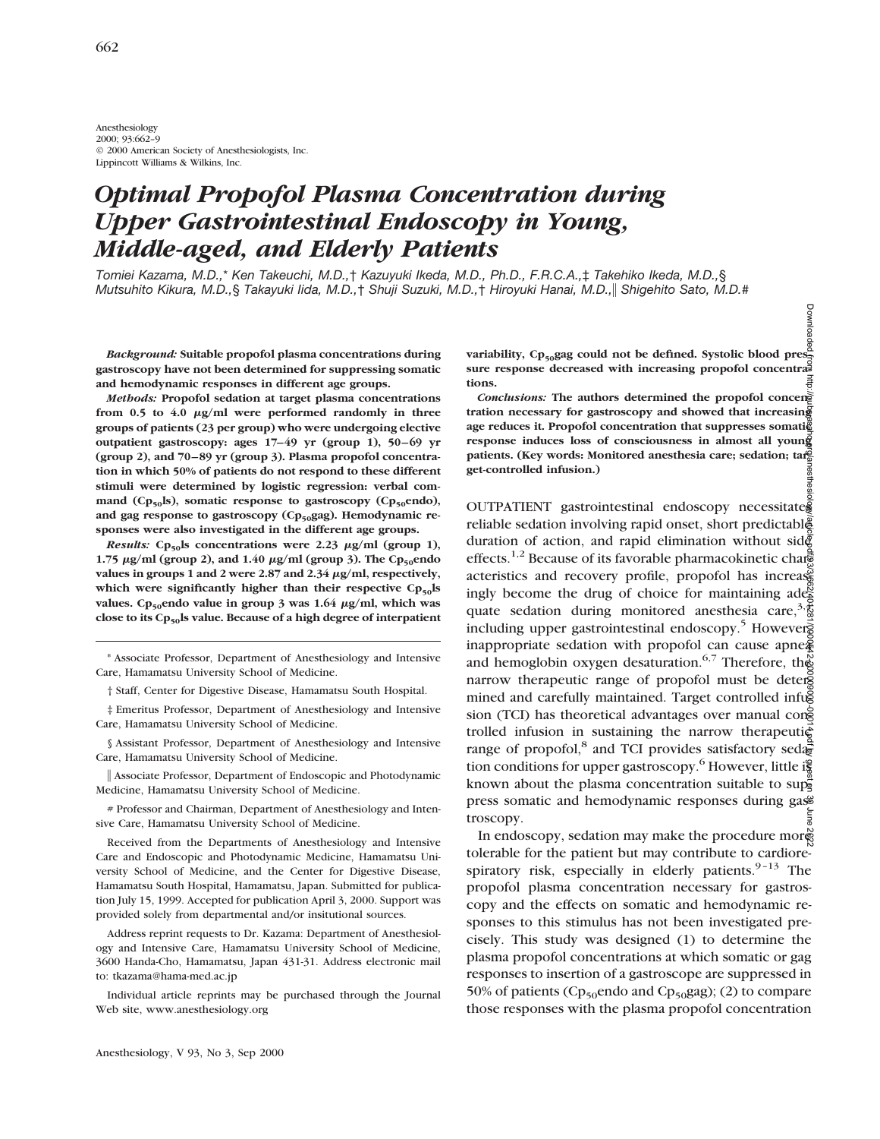Anesthesiology 2000; 93:662–9 © 2000 American Society of Anesthesiologists, Inc. Lippincott Williams & Wilkins, Inc.

# *Optimal Propofol Plasma Concentration during Upper Gastrointestinal Endoscopy in Young, Middle-aged, and Elderly Patients*

*Tomiei Kazama, M.D.,*\* *Ken Takeuchi, M.D.,*† *Kazuyuki Ikeda, M.D., Ph.D., F.R.C.A.,*‡ *Takehiko Ikeda, M.D.,*§ *Mutsuhito Kikura, M.D.,*§ *Takayuki Iida, M.D.,*† *Shuji Suzuki, M.D.,*† *Hiroyuki Hanai, M.D.,*i *Shigehito Sato, M.D.#*

*Background:* **Suitable propofol plasma concentrations during gastroscopy have not been determined for suppressing somatic and hemodynamic responses in different age groups.**

*Methods:* **Propofol sedation at target plasma concentrations** from 0.5 to 4.0  $\mu$ g/ml were performed randomly in three **groups of patients (23 per group) who were undergoing elective outpatient gastroscopy: ages 17–49 yr (group 1), 50–69 yr (group 2), and 70–89 yr (group 3). Plasma propofol concentration in which 50% of patients do not respond to these different stimuli were determined by logistic regression: verbal com**mand (Cp<sub>50</sub>ls), somatic response to gastroscopy (Cp<sub>50</sub>endo), and gag response to gastroscopy (Cp<sub>50</sub>gag). Hemodynamic re**sponses were also investigated in the different age groups.**

*Results:* Cp<sub>50</sub>ls concentrations were 2.23  $\mu$ g/ml (group 1), **1.75**  $\mu$ g/ml (group 2), and 1.40  $\mu$ g/ml (group 3). The Cp<sub>50</sub>endo values in groups 1 and 2 were 2.87 and 2.34  $\mu$ g/ml, respectively, which were significantly higher than their respective Cp<sub>50</sub>ls values. Cp<sub>50</sub>endo value in group 3 was 1.64  $\mu$ g/ml, which was close to its Cp<sub>50</sub>ls value. Because of a high degree of interpatient

\* Associate Professor, Department of Anesthesiology and Intensive Care, Hamamatsu University School of Medicine.

† Staff, Center for Digestive Disease, Hamamatsu South Hospital.

‡ Emeritus Professor, Department of Anesthesiology and Intensive Care, Hamamatsu University School of Medicine.

§ Assistant Professor, Department of Anesthesiology and Intensive Care, Hamamatsu University School of Medicine.

i Associate Professor, Department of Endoscopic and Photodynamic Medicine, Hamamatsu University School of Medicine.

# Professor and Chairman, Department of Anesthesiology and Intensive Care, Hamamatsu University School of Medicine.

Received from the Departments of Anesthesiology and Intensive Care and Endoscopic and Photodynamic Medicine, Hamamatsu University School of Medicine, and the Center for Digestive Disease, Hamamatsu South Hospital, Hamamatsu, Japan. Submitted for publication July 15, 1999. Accepted for publication April 3, 2000. Support was provided solely from departmental and/or insitutional sources.

Address reprint requests to Dr. Kazama: Department of Anesthesiology and Intensive Care, Hamamatsu University School of Medicine, 3600 Handa-Cho, Hamamatsu, Japan 431-31. Address electronic mail to: tkazama@hama-med.ac.jp

Individual article reprints may be purchased through the Journal Web site, www.anesthesiology.org

variability, Cp<sub>50</sub>gag could not be defined. Systolic blood presservational preservation of the system of the set sure response decreased with increasing propofol concentra<sup>3</sup> **tions.**

*Conclusions:* The authors determined the propofol concer **tration necessary for gastroscopy and showed that increasing age reduces it. Propofol concentration that suppresses somatic response induces loss of consciousness in almost all young** patients. (Key words: Monitored anesthesia care; sedation; target **get-controlled infusion.)**

OUTPATIENT gastrointestinal endoscopy necessitates reliable sedation involving rapid onset, short predictable duration of action, and rapid elimination without side effects.<sup>1,2</sup> Because of its favorable pharmacokinetic characteristics and recovery profile, propofol has increased ingly become the drug of choice for maintaining adequate sedation during monitored anesthesia care,<sup>3, $\frac{4}{6}$ </sup> including upper gastrointestinal endoscopy.<sup>5</sup> However<sup>5</sup> inappropriate sedation with propofol can cause apne $\tilde{a}$ and hemoglobin oxygen desaturation.<sup>6,7</sup> Therefore, the narrow therapeutic range of propofol must be determined and carefully maintained. Target controlled infug sion (TCI) has theoretical advantages over manual consequently trolled infusion in sustaining the narrow therapeutic range of propofol,<sup>8</sup> and TCI provides satisfactory sedation conditions for upper gastroscopy.<sup>6</sup> However, little is known about the plasma concentration suitable to suppress somatic and hemodynamic responses during gas troscopy. Downloaded from http://pubs.asahq.org/anesthesiology/article-pdf/93/3/662/401281/0000542-200009000-00014.pdf by guest on 30 June 2022

In endoscopy, sedation may make the procedure more tolerable for the patient but may contribute to cardiorespiratory risk, especially in elderly patients. $9-13$  The propofol plasma concentration necessary for gastroscopy and the effects on somatic and hemodynamic responses to this stimulus has not been investigated precisely. This study was designed (1) to determine the plasma propofol concentrations at which somatic or gag responses to insertion of a gastroscope are suppressed in 50% of patients ( $Cp_{50}$ endo and  $Cp_{50}$ gag); (2) to compare those responses with the plasma propofol concentration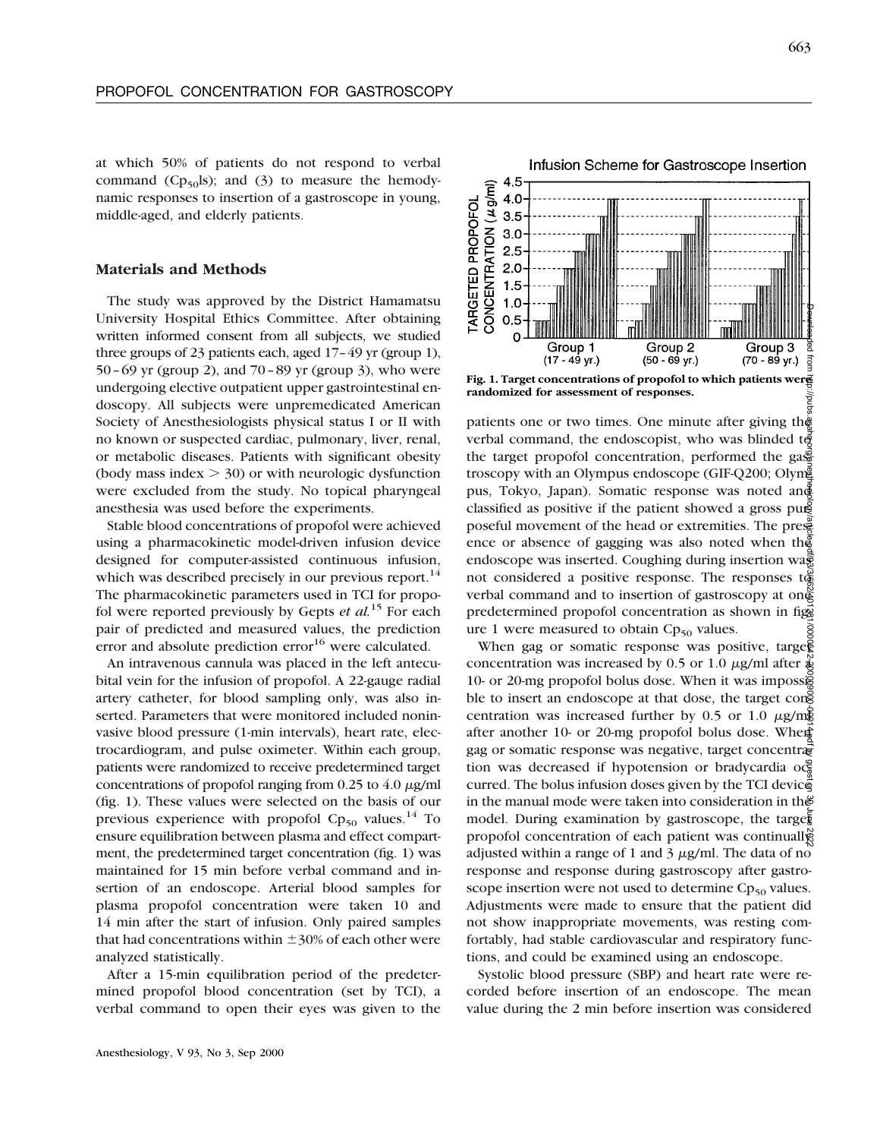at which 50% of patients do not respond to verbal command ( $Cp_{50}$ ls); and (3) to measure the hemodynamic responses to insertion of a gastroscope in young, middle-aged, and elderly patients.

#### **Materials and Methods**

The study was approved by the District Hamamatsu University Hospital Ethics Committee. After obtaining written informed consent from all subjects, we studied three groups of 23 patients each, aged 17–49 yr (group 1), 50–69 yr (group 2), and 70–89 yr (group 3), who were undergoing elective outpatient upper gastrointestinal endoscopy. All subjects were unpremedicated American Society of Anesthesiologists physical status I or II with no known or suspected cardiac, pulmonary, liver, renal, or metabolic diseases. Patients with significant obesity (body mass index  $>$  30) or with neurologic dysfunction were excluded from the study. No topical pharyngeal anesthesia was used before the experiments.

Stable blood concentrations of propofol were achieved using a pharmacokinetic model-driven infusion device designed for computer-assisted continuous infusion, which was described precisely in our previous report.<sup>14</sup> The pharmacokinetic parameters used in TCI for propofol were reported previously by Gepts *et al.*<sup>15</sup> For each pair of predicted and measured values, the prediction error and absolute prediction error<sup>16</sup> were calculated.

An intravenous cannula was placed in the left antecubital vein for the infusion of propofol. A 22-gauge radial artery catheter, for blood sampling only, was also inserted. Parameters that were monitored included noninvasive blood pressure (1-min intervals), heart rate, electrocardiogram, and pulse oximeter. Within each group, patients were randomized to receive predetermined target concentrations of propofol ranging from  $0.25$  to  $4.0 \mu g/ml$ (fig. 1). These values were selected on the basis of our previous experience with propofol  $Cp_{50}$  values.<sup>14</sup> To ensure equilibration between plasma and effect compartment, the predetermined target concentration (fig. 1) was maintained for 15 min before verbal command and insertion of an endoscope. Arterial blood samples for plasma propofol concentration were taken 10 and 14 min after the start of infusion. Only paired samples that had concentrations within  $\pm$ 30% of each other were analyzed statistically.

After a 15-min equilibration period of the predetermined propofol blood concentration (set by TCI), a verbal command to open their eyes was given to the



**randomized for assessment of responses.**

patients one or two times. One minute after giving the verbal command, the endoscopist, who was blinded to the target propofol concentration, performed the  $\text{gas}^{\text{c}}$ troscopy with an Olympus endoscope (GIF-Q200; Olym pus, Tokyo, Japan). Somatic response was noted and classified as positive if the patient showed a gross pu $\mathfrak{s}$ poseful movement of the head or extremities. The presence or absence of gagging was also noted when the endoscope was inserted. Coughing during insertion was not considered a positive response. The responses to verbal command and to insertion of gastroscopy at one predetermined propofol concentration as shown in figs ure 1 were measured to obtain  $Cp_{50}$  values.

When gag or somatic response was positive, target concentration was increased by 0.5 or 1.0  $\mu$ g/ml after  $\frac{1}{4}$ 10- or 20-mg propofol bolus dose. When it was impossed ble to insert an endoscope at that dose, the target cong centration was increased further by 0.5 or 1.0  $\mu$ g/mg after another 10- or 20-mg propofol bolus dose. When gag or somatic response was negative, target concentration was decreased if hypotension or bradycardia  $\alpha$ curred. The bolus infusion doses given by the TCI device in the manual mode were taken into consideration in the model. During examination by gastroscope, the target propofol concentration of each patient was continually adjusted within a range of 1 and 3  $\mu$ g/ml. The data of no response and response during gastroscopy after gastroscope insertion were not used to determine  $Cp_{50}$  values. Adjustments were made to ensure that the patient did not show inappropriate movements, was resting comfortably, had stable cardiovascular and respiratory functions, and could be examined using an endoscope. Downloaded from http://pubs.asahq.org/anesthesiology/article-pdf/93/3/662/401281/0000542-200009000-00014.pdf by guest on 30 June 2022

Systolic blood pressure (SBP) and heart rate were recorded before insertion of an endoscope. The mean value during the 2 min before insertion was considered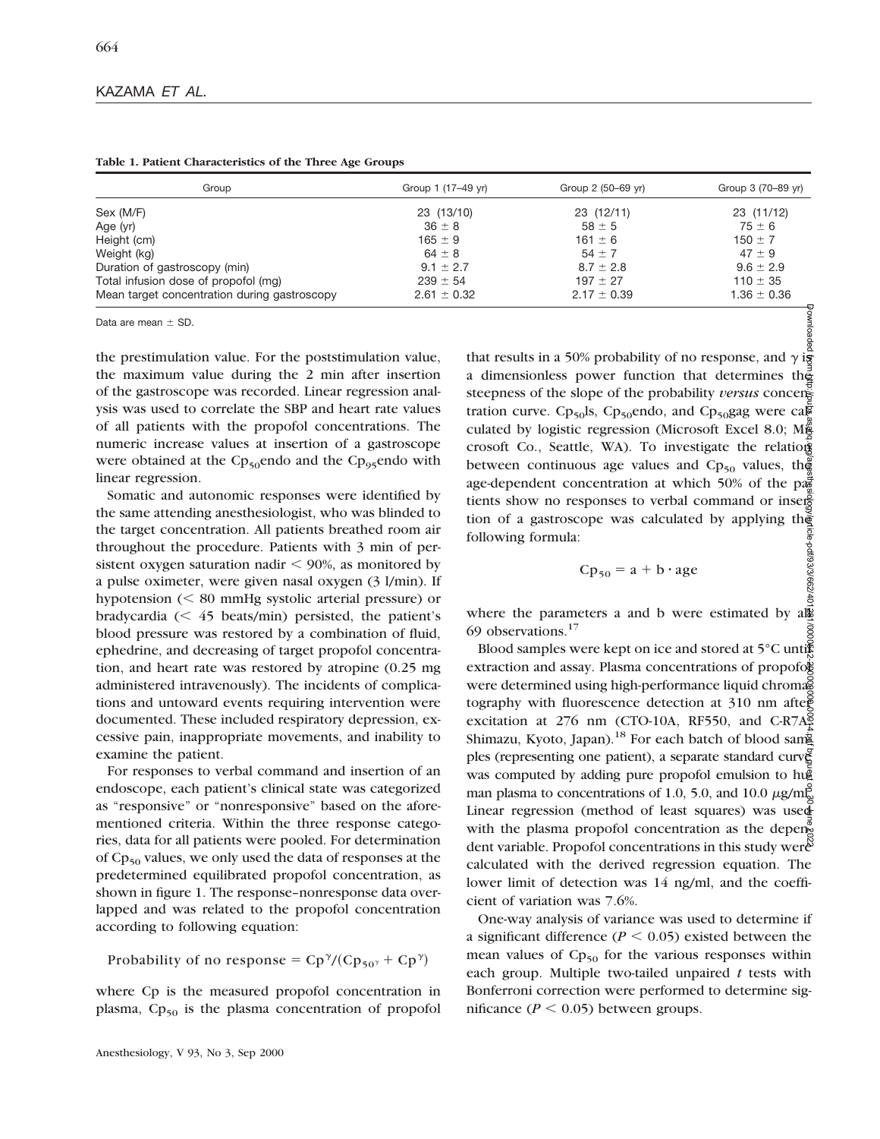| Group                                        | Group 1 (17–49 yr) | Group 2 (50–69 yr) | Group 3 (70-89 yr) |  |
|----------------------------------------------|--------------------|--------------------|--------------------|--|
| Sex (M/F)                                    | 23 (13/10)         | 23 (12/11)         | 23 (11/12)         |  |
| Age (yr)                                     | $36 \pm 8$         | $58 \pm 5$         | $75 \pm 6$         |  |
| Height (cm)                                  | $165 \pm 9$        | $161 \pm 6$        | $150 \pm 7$        |  |
| Weight (kg)                                  | $64 \pm 8$         | $54 \pm 7$         | $47 \pm 9$         |  |
| Duration of gastroscopy (min)                | $9.1 \pm 2.7$      | $8.7 \pm 2.8$      | $9.6 \pm 2.9$      |  |
| Total infusion dose of propofol (mg)         | $239 \pm 54$       | $197 \pm 27$       | $110 \pm 35$       |  |
| Mean target concentration during gastroscopy | $2.61 \pm 0.32$    | $2.17 \pm 0.39$    | $1.36 \pm 0.36$    |  |

**Table 1. Patient Characteristics of the Three Age Groups**

Data are mean  $+$  SD.

the prestimulation value. For the poststimulation value, the maximum value during the 2 min after insertion of the gastroscope was recorded. Linear regression analysis was used to correlate the SBP and heart rate values of all patients with the propofol concentrations. The numeric increase values at insertion of a gastroscope were obtained at the  $Cp_{50}$ endo and the  $Cp_{95}$ endo with linear regression.

Somatic and autonomic responses were identified by the same attending anesthesiologist, who was blinded to the target concentration. All patients breathed room air throughout the procedure. Patients with 3 min of persistent oxygen saturation nadir  $\leq 90\%$ , as monitored by a pulse oximeter, were given nasal oxygen (3 l/min). If hypotension  $(< 80$  mmHg systolic arterial pressure) or bradycardia  $(< 45$  beats/min) persisted, the patient's blood pressure was restored by a combination of fluid, ephedrine, and decreasing of target propofol concentration, and heart rate was restored by atropine (0.25 mg administered intravenously). The incidents of complications and untoward events requiring intervention were documented. These included respiratory depression, excessive pain, inappropriate movements, and inability to examine the patient.

For responses to verbal command and insertion of an endoscope, each patient's clinical state was categorized as "responsive" or "nonresponsive" based on the aforementioned criteria. Within the three response categories, data for all patients were pooled. For determination of  $Cp_{50}$  values, we only used the data of responses at the predetermined equilibrated propofol concentration, as shown in figure 1. The response–nonresponse data overlapped and was related to the propofol concentration according to following equation:

Probability of no response =  $Cp^{\gamma}/(Cp_{50^{\gamma}} + Cp^{\gamma})$ 

where Cp is the measured propofol concentration in plasma,  $Cp_{50}$  is the plasma concentration of propofol

that results in a 50% probability of no response, and  $\gamma$  is a dimensionless power function that determines the steepness of the slope of the probability *versus* concen tration curve. Cp<sub>50</sub>ls, Cp<sub>50</sub>endo, and Cp<sub>50</sub>gag were cal culated by logistic regression (Microsoft Excel 8.0; Might crosoft Co., Seattle, WA). To investigate the relation between continuous age values and  $Cp_{50}$  values, the age-dependent concentration at which 50% of the pa $\frac{1}{2}$ tients show no responses to verbal command or insertion of a gastroscope was calculated by applying the following formula: cle-pdf/93/3/662/40

$$
Cp_{50} = a + b \cdot age
$$

where the parameters a and b were estimated by all 69 observations.17

Blood samples were kept on ice and stored at 5°C untig extraction and assay. Plasma concentrations of propofol were determined using high-performance liquid chromas tography with fluorescence detection at 310 nm after excitation at 276 nm (CTO-10A, RF550, and C-R7A $\frac{8}{3}$ Shimazu, Kyoto, Japan).<sup>18</sup> For each batch of blood samg ples (representing one patient), a separate standard curve was computed by adding pure propofol emulsion to hug man plasma to concentrations of 1.0, 5.0, and 10.0  $\mu$ g/m $\overline{g}$ Linear regression (method of least squares) was used with the plasma propofol concentration as the dependent variable. Propofol concentrations in this study weren calculated with the derived regression equation. The lower limit of detection was 14 ng/ml, and the coefficient of variation was 7.6%. Downloaded from http://pubs.asahq.org/anesthesiology/article-pdf/93/3/662/401281/0000542-200009000-00014.pdf by guest on 30 June 2022

One-way analysis of variance was used to determine if a significant difference ( $P < 0.05$ ) existed between the mean values of  $Cp_{50}$  for the various responses within each group. Multiple two-tailed unpaired *t* tests with Bonferroni correction were performed to determine significance ( $P < 0.05$ ) between groups.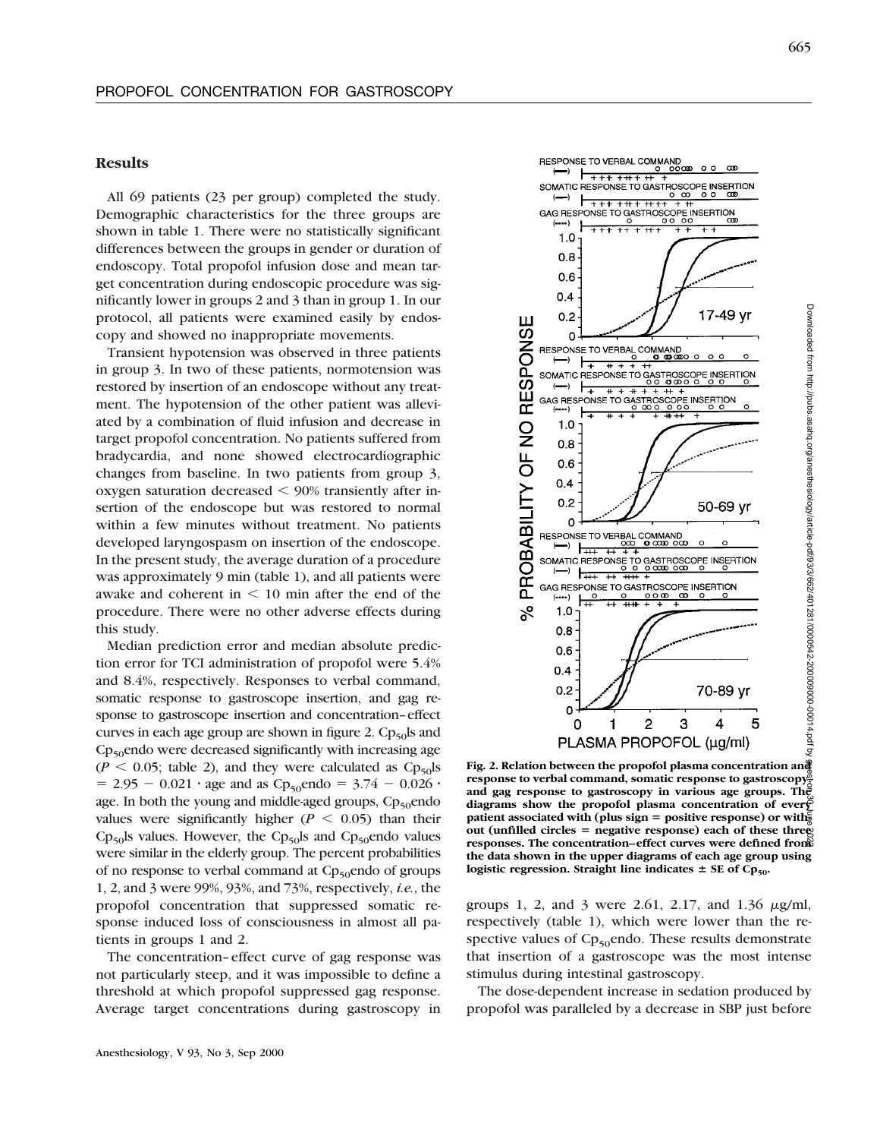## **Results**

All 69 patients (23 per group) completed the study. Demographic characteristics for the three groups are shown in table 1. There were no statistically significant differences between the groups in gender or duration of endoscopy. Total propofol infusion dose and mean target concentration during endoscopic procedure was significantly lower in groups 2 and 3 than in group 1. In our protocol, all patients were examined easily by endoscopy and showed no inappropriate movements.

Transient hypotension was observed in three patients in group 3. In two of these patients, normotension was restored by insertion of an endoscope without any treatment. The hypotension of the other patient was alleviated by a combination of fluid infusion and decrease in target propofol concentration. No patients suffered from bradycardia, and none showed electrocardiographic changes from baseline. In two patients from group 3, oxygen saturation decreased  $<$  90% transiently after insertion of the endoscope but was restored to normal within a few minutes without treatment. No patients developed laryngospasm on insertion of the endoscope. In the present study, the average duration of a procedure was approximately 9 min (table 1), and all patients were awake and coherent in  $\leq 10$  min after the end of the procedure. There were no other adverse effects during this study.

Median prediction error and median absolute prediction error for TCI administration of propofol were 5.4% and 8.4%, respectively. Responses to verbal command, somatic response to gastroscope insertion, and gag response to gastroscope insertion and concentration–effect curves in each age group are shown in figure 2.  $Cp_{50}$  and  $Cp_{50}$ endo were decreased significantly with increasing age  $(P \le 0.05$ ; table 2), and they were calculated as  $Cp_{50}$ ls  $= 2.95 - 0.021 \cdot \text{age}$  and as Cp<sub>50</sub>endo =  $3.74 - 0.026 \cdot$ age. In both the young and middle-aged groups,  $Cp_{50}$ endo values were significantly higher ( $P < 0.05$ ) than their  $Cp_{50}$ ls values. However, the  $Cp_{50}$ ls and  $Cp_{50}$ endo values were similar in the elderly group. The percent probabilities of no response to verbal command at  $Cp_{50}$ endo of groups 1, 2, and 3 were 99%, 93%, and 73%, respectively, *i.e.*, the propofol concentration that suppressed somatic response induced loss of consciousness in almost all patients in groups 1 and 2.

The concentration–effect curve of gag response was not particularly steep, and it was impossible to define a threshold at which propofol suppressed gag response. Average target concentrations during gastroscopy in



**Fig. 2. Relation between the propofol plasma concentration and response to verbal command, somatic response to gastroscopy, and gag response to gastroscopy in various age groups. The diagrams show the propofol plasma concentration of every** patient associated with (plus sign = positive response) or with. **out (unfilled circles = negative response) each of these three responses. The concentration–effect curves were defined from the data shown in the upper diagrams of each age group using** logistic regression. Straight line indicates  $\pm$  SE of Cp<sub>50</sub>. Downloaded from http://pubs.asahq.org/anesthesiology/article-pdf/93/3/662/401281/0000542-200009000-00014.pdf by guest on 30 June 2022

groups 1, 2, and 3 were 2.61, 2.17, and 1.36  $\mu$ g/ml, respectively (table 1), which were lower than the respective values of  $Cp_{50}$ endo. These results demonstrate that insertion of a gastroscope was the most intense stimulus during intestinal gastroscopy.

The dose-dependent increase in sedation produced by propofol was paralleled by a decrease in SBP just before

Downloaded from http://pubs.asahq.org/anesthesiology/article-pdf/93/3/662/401281/000042-200009000-00014.pdf by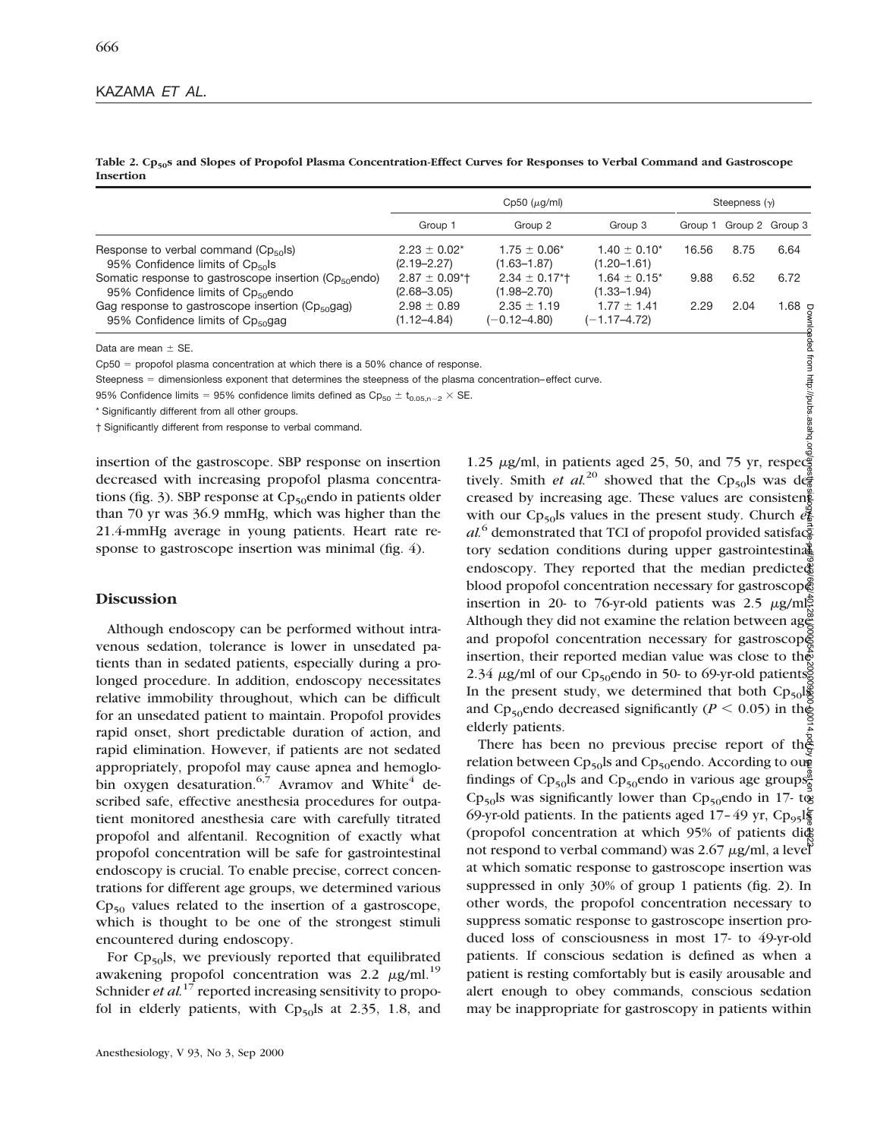Table 2. Cp<sub>50</sub>s and Slopes of Propofol Plasma Concentration-Effect Curves for Responses to Verbal Command and Gastroscope **Insertion**

| $Cp50$ ( $\mu q/ml$ )              |                                     |                                     | Steepness $(y)$ |      |                         |
|------------------------------------|-------------------------------------|-------------------------------------|-----------------|------|-------------------------|
| Group 1                            | Group 2                             | Group 3                             |                 |      |                         |
| $2.23 \pm 0.02^*$                  | $1.75 \pm 0.06^*$                   | $1.40 \pm 0.10^*$                   | 16.56           | 8.75 | 6.64                    |
| $(2.19 - 2.27)$                    | $(1.63 - 1.87)$                     | $(1.20 - 1.61)$                     |                 |      |                         |
| $2.87 \pm 0.09$ <sup>*</sup> t     | $2.34 \pm 0.17$ <sup>*</sup>        | $1.64 \pm 0.15^*$                   | 9.88            | 6.52 | 6.72                    |
| $(2.68 - 3.05)$                    | $(1.98 - 2.70)$                     | $(1.33 - 1.94)$                     |                 |      |                         |
| $2.98 \pm 0.89$<br>$(1.12 - 4.84)$ | $2.35 \pm 1.19$<br>$(-0.12 - 4.80)$ | $1.77 \pm 1.41$<br>$(-1.17 - 4.72)$ | 2.29            | 2.04 | ي 68.                   |
|                                    |                                     |                                     |                 |      | Group 1 Group 2 Group 3 |

Data are mean  $\pm$  SE.

 $Cp50$  = propofol plasma concentration at which there is a 50% chance of response.

Steepness = dimensionless exponent that determines the steepness of the plasma concentration–effect curve.

95% Confidence limits = 95% confidence limits defined as  $\text{Cp}_{50} \pm \text{t}_{0.05,n-2} \times \text{SE}$ .

\* Significantly different from all other groups.

† Significantly different from response to verbal command.

insertion of the gastroscope. SBP response on insertion decreased with increasing propofol plasma concentrations (fig. 3). SBP response at  $Cp_{50}$ endo in patients older than 70 yr was 36.9 mmHg, which was higher than the 21.4-mmHg average in young patients. Heart rate response to gastroscope insertion was minimal (fig. 4).

## **Discussion**

Although endoscopy can be performed without intravenous sedation, tolerance is lower in unsedated patients than in sedated patients, especially during a prolonged procedure. In addition, endoscopy necessitates relative immobility throughout, which can be difficult for an unsedated patient to maintain. Propofol provides rapid onset, short predictable duration of action, and rapid elimination. However, if patients are not sedated appropriately, propofol may cause apnea and hemoglobin oxygen desaturation.<sup>6,7</sup> Avramov and White<sup>4</sup> described safe, effective anesthesia procedures for outpatient monitored anesthesia care with carefully titrated propofol and alfentanil. Recognition of exactly what propofol concentration will be safe for gastrointestinal endoscopy is crucial. To enable precise, correct concentrations for different age groups, we determined various  $Cp_{50}$  values related to the insertion of a gastroscope, which is thought to be one of the strongest stimuli encountered during endoscopy.

For  $Cp_{50}$ ls, we previously reported that equilibrated awakening propofol concentration was 2.2  $\mu$ g/ml.<sup>19</sup> Schnider *et al.*<sup>17</sup> reported increasing sensitivity to propofol in elderly patients, with  $Cp_{50}$ ls at 2.35, 1.8, and

1.25  $\mu$ g/ml, in patients aged 25, 50, and 75 yr, respec tively. Smith *et al.*<sup>20</sup> showed that the Cp<sub>50</sub>ls was de creased by increasing age. These values are consisten with our Cp<sub>50</sub>ls values in the present study. Church  $e_{\mathbf{k}}^2$  $al$ <sup>6</sup> demonstrated that TCI of propofol provided satisfac $\frac{3}{8}$ tory sedation conditions during upper gastrointestinal endoscopy. They reported that the median predicte $\tilde{\mathfrak{F}}$ blood propofol concentration necessary for gastroscope insertion in 20- to 76-yr-old patients was 2.5  $\mu$ g/ml $\frac{5}{5}$ . Although they did not examine the relation between age and propofol concentration necessary for gastroscope insertion, their reported median value was close to the 2.34  $\mu$ g/ml of our Cp<sub>50</sub>endo in 50- to 69-yr-old patients. In the present study, we determined that both  $Cp_{50}$ ls and Cp<sub>50</sub>endo decreased significantly ( $P < 0.05$ ) in the elderly patients. Downloaded from http://pubs.asahq.org/anesthesiology/article-pdf/93/3/662/401281/0000542-200009000-00014.pdf by guest on 30 June 2022

There has been no previous precise report of the relation between Cp<sub>50</sub>ls and Cp<sub>50</sub>endo. According to ough findings of Cp<sub>50</sub>ls and Cp<sub>50</sub>endo in various age groups<sup> $\frac{8}{6}$ </sup> Cp<sub>50</sub>ls was significantly lower than Cp<sub>50</sub>endo in 17- to 69-yr-old patients. In the patients aged 17–49 yr, Cp<sub>95</sub>ls (propofol concentration at which 95% of patients did not respond to verbal command) was  $2.67 \mu g/ml$ , a level at which somatic response to gastroscope insertion was suppressed in only 30% of group 1 patients (fig. 2). In other words, the propofol concentration necessary to suppress somatic response to gastroscope insertion produced loss of consciousness in most 17- to 49-yr-old patients. If conscious sedation is defined as when a patient is resting comfortably but is easily arousable and alert enough to obey commands, conscious sedation may be inappropriate for gastroscopy in patients within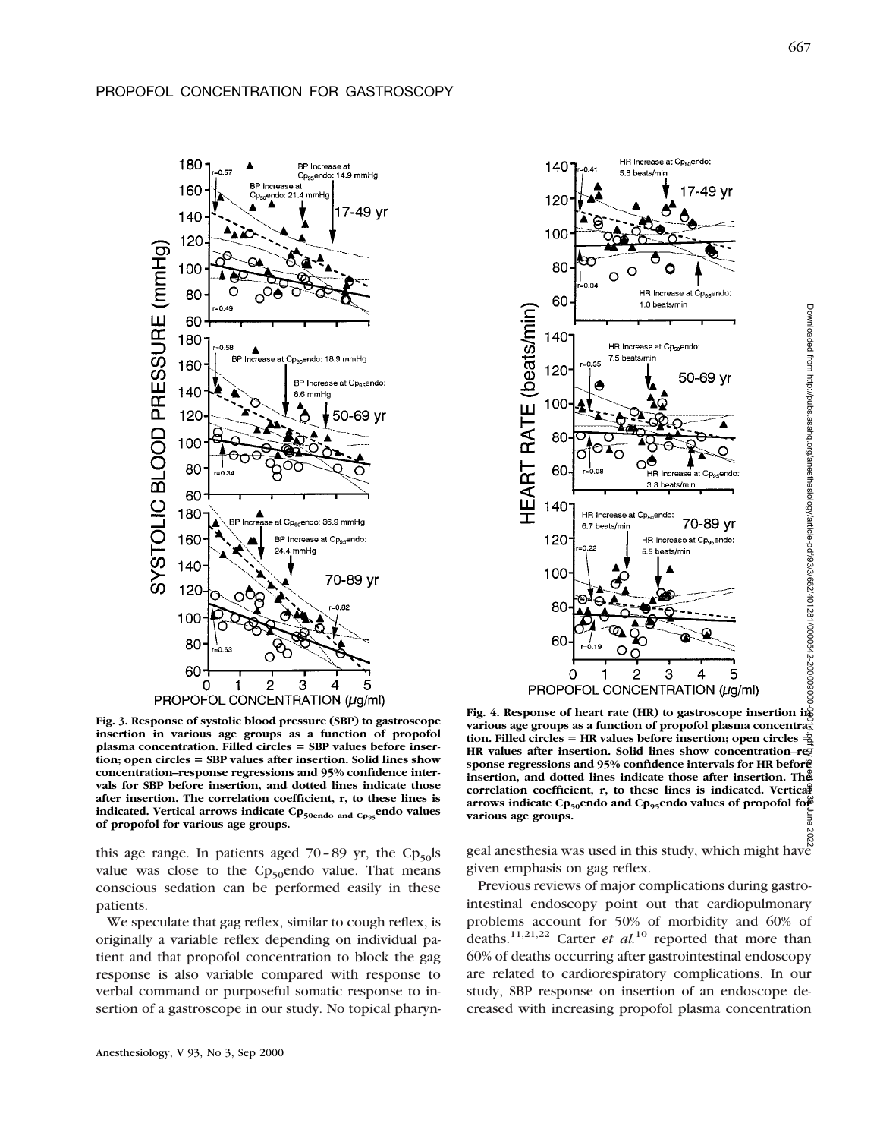



**Fig. 3. Response of systolic blood pressure (SBP) to gastroscope insertion in various age groups as a function of propofol** plasma concentration. Filled circles = SBP values before insertion; open circles = SBP values after insertion. Solid lines show **concentration–response regressions and 95% confidence intervals for SBP before insertion, and dotted lines indicate those after insertion. The correlation coefficient, r, to these lines is** indicated. Vertical arrows indicate Cp<sub>50endo and Cp95</sub>endo values **of propofol for various age groups.**

this age range. In patients aged  $70-89$  yr, the Cp<sub>50</sub>ls value was close to the  $Cp_{50}$ endo value. That means conscious sedation can be performed easily in these patients.

We speculate that gag reflex, similar to cough reflex, is originally a variable reflex depending on individual patient and that propofol concentration to block the gag response is also variable compared with response to verbal command or purposeful somatic response to insertion of a gastroscope in our study. No topical pharyn-

Downloaded from http://pubs.asahq.org/anesthesiology/article-pdf/93/3/662/401281/0000542-200009000-00014.pdf by guest on 30 June 2022**Fig. 4. Response of heart rate (HR) to gastroscope insertion in** various age groups as a function of propofol plasma concentral tion. Filled circles = HR values before insertion; open circles  $\frac{1}{2}$ HR values after insertion. Solid lines show concentration–reg **sponse regressions and 95% confidence intervals for HR before insertion, and dotted lines indicate those after insertion. The correlation coefficient, r, to these lines is indicated. Vertical** arrows indicate Cp<sub>50</sub>endo and Cp<sub>95</sub>endo values of propofol for **various age groups.** ă

geal anesthesia was used in this study, which might have given emphasis on gag reflex.

Previous reviews of major complications during gastrointestinal endoscopy point out that cardiopulmonary problems account for 50% of morbidity and 60% of deaths.11,21,22 Carter *et al.*<sup>10</sup> reported that more than 60% of deaths occurring after gastrointestinal endoscopy are related to cardiorespiratory complications. In our study, SBP response on insertion of an endoscope decreased with increasing propofol plasma concentration

Downloaded from http://pubs.asahq.org/anesthesiology/article-pdf/93/3/662/401281/0000542-200009000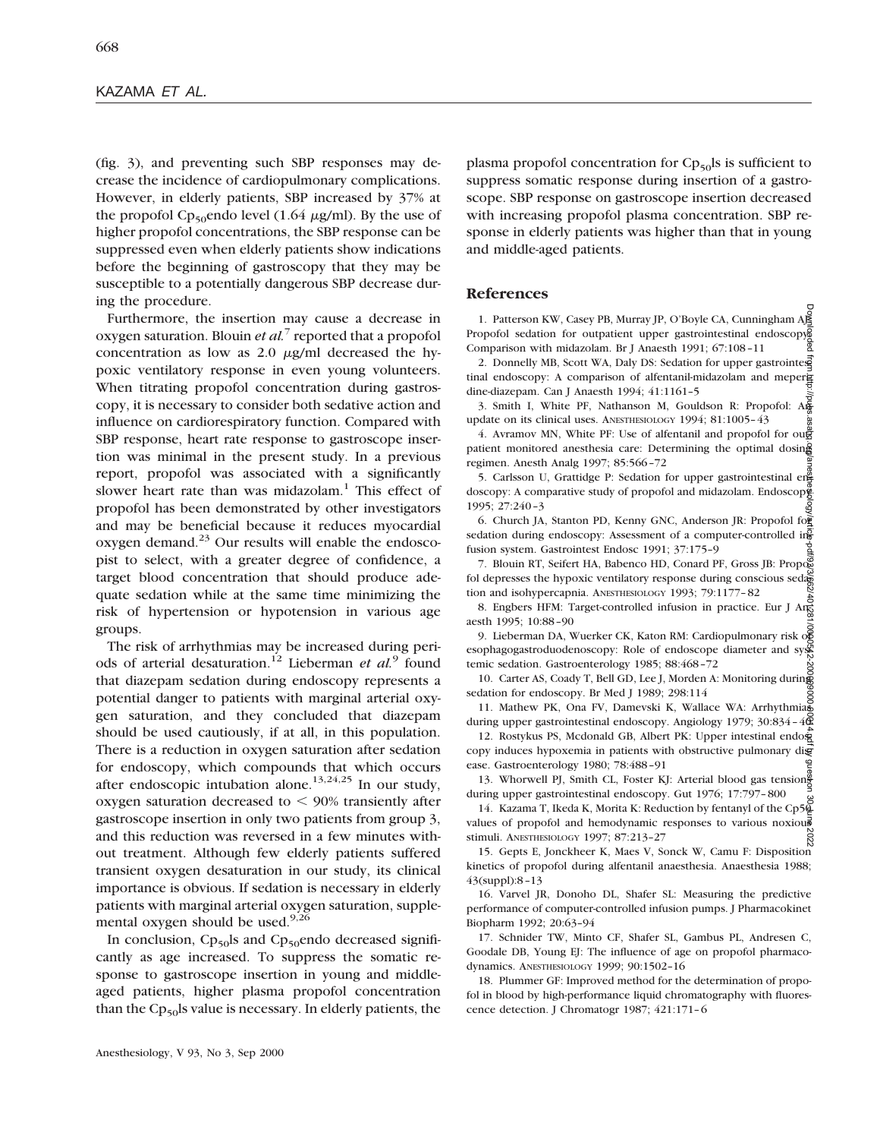(fig. 3), and preventing such SBP responses may decrease the incidence of cardiopulmonary complications. However, in elderly patients, SBP increased by 37% at the propofol Cp<sub>50</sub>endo level (1.64  $\mu$ g/ml). By the use of higher propofol concentrations, the SBP response can be suppressed even when elderly patients show indications before the beginning of gastroscopy that they may be susceptible to a potentially dangerous SBP decrease during the procedure.

Furthermore, the insertion may cause a decrease in oxygen saturation. Blouin *et al.*<sup>7</sup> reported that a propofol concentration as low as  $2.0 \mu g/ml$  decreased the hypoxic ventilatory response in even young volunteers. When titrating propofol concentration during gastroscopy, it is necessary to consider both sedative action and influence on cardiorespiratory function. Compared with SBP response, heart rate response to gastroscope insertion was minimal in the present study. In a previous report, propofol was associated with a significantly slower heart rate than was midazolam.<sup>1</sup> This effect of propofol has been demonstrated by other investigators and may be beneficial because it reduces myocardial oxygen demand. $^{23}$  Our results will enable the endoscopist to select, with a greater degree of confidence, a target blood concentration that should produce adequate sedation while at the same time minimizing the risk of hypertension or hypotension in various age groups.

The risk of arrhythmias may be increased during periods of arterial desaturation.12 Lieberman *et al.*<sup>9</sup> found that diazepam sedation during endoscopy represents a potential danger to patients with marginal arterial oxygen saturation, and they concluded that diazepam should be used cautiously, if at all, in this population. There is a reduction in oxygen saturation after sedation for endoscopy, which compounds that which occurs after endoscopic intubation alone.<sup>13,24,25</sup> In our study, oxygen saturation decreased to  $<$  90% transiently after gastroscope insertion in only two patients from group 3, and this reduction was reversed in a few minutes without treatment. Although few elderly patients suffered transient oxygen desaturation in our study, its clinical importance is obvious. If sedation is necessary in elderly patients with marginal arterial oxygen saturation, supplemental oxygen should be used.<sup>9,26</sup>

In conclusion,  $Cp_{50}$ ls and  $Cp_{50}$ endo decreased significantly as age increased. To suppress the somatic response to gastroscope insertion in young and middleaged patients, higher plasma propofol concentration than the  $Cp_{50}$ ls value is necessary. In elderly patients, the

plasma propofol concentration for  $Cp_{50}$ ls is sufficient to suppress somatic response during insertion of a gastroscope. SBP response on gastroscope insertion decreased with increasing propofol plasma concentration. SBP response in elderly patients was higher than that in young and middle-aged patients.

### **References**

1. Patterson KW, Casey PB, Murray JP, O'Boyle CA, Cunningham A Propofol sedation for outpatient upper gastrointestinal endoscopys Comparison with midazolam. Br J Anaesth 1991; 67:108–11

2. Donnelly MB, Scott WA, Daly DS: Sedation for upper gastrointes tinal endoscopy: A comparison of alfentanil-midazolam and meperg dine-diazepam. Can J Anaesth 1994; 41:1161–5

<sup>2</sup><br>3. Smith I, White PF, Nathanson M, Gouldson R: Propofol: An update on its clinical uses. ANESTHESIOLOGY 1994; 81:1005–43

4. Avramov MN, White PF: Use of alfentanil and propofol for outer patient monitored anesthesia care: Determining the optimal dosing regimen. Anesth Analg 1997; 85:566–72 Downloaded from http://pubs.asahq.org/anesthesiology/article-pdf/93/3/662/401281/0000542-200009000-00014.pdf by guest on 30 June 2022

5. Carlsson U, Grattidge P: Sedation for upper gastrointestinal engdoscopy: A comparative study of propofol and midazolam. Endoscop 1995; 27:240–3

6. Church JA, Stanton PD, Kenny GNC, Anderson JR: Propofol for sedation during endoscopy: Assessment of a computer-controlled in $\frac{1}{6}$ fusion system. Gastrointest Endosc 1991; 37:175–9

7. Blouin RT, Seifert HA, Babenco HD, Conard PF, Gross JB: Propos fol depresses the hypoxic ventilatory response during conscious seda-<br>tion and inehypographs. Annuncia consequently  $\frac{1002}{100}$ ,  $\frac{70.1177}{200}$ tion and isohypercapnia. ANESTHESIOLOGY 1993; 79:1177–82

8. Engbers HFM: Target-controlled infusion in practice. Eur J Ang aesth 1995; 10:88–90

9. Lieberman DA, Wuerker CK, Katon RM: Cardiopulmonary risk of esophagogastroduodenoscopy: Role of endoscope diameter and systemic sedation. Gastroenterology 1985; 88:468–72

10. Carter AS, Coady T, Bell GD, Lee J, Morden A: Monitoring during sedation for endoscopy. Br Med J 1989; 298:114

11. Mathew PK, Ona FV, Damevski K, Wallace WA: Arrhythmias during upper gastrointestinal endoscopy. Angiology 1979; 30:834 -  $4\overline{\mathbb{Q}}$ 

12. Rostykus PS, Mcdonald GB, Albert PK: Upper intestinal endo $\frac{1}{2}$ copy induces hypoxemia in patients with obstructive pulmonary digease. Gastroenterology 1980; 78:488–91

13. Whorwell PJ, Smith CL, Foster KJ: Arterial blood gas tension during upper gastrointestinal endoscopy. Gut 1976; 17:797–800

14. Kazama T, Ikeda K, Morita K: Reduction by fentanyl of the Cp50 values of propofol and hemodynamic responses to various noxious stimuli. ANESTHESIOLOGY 1997; 87:213–27

15. Gepts E, Jonckheer K, Maes V, Sonck W, Camu F: Disposition kinetics of propofol during alfentanil anaesthesia. Anaesthesia 1988; 43(suppl):8–13

16. Varvel JR, Donoho DL, Shafer SL: Measuring the predictive performance of computer-controlled infusion pumps. J Pharmacokinet Biopharm 1992; 20:63–94

17. Schnider TW, Minto CF, Shafer SL, Gambus PL, Andresen C, Goodale DB, Young EJ: The influence of age on propofol pharmacodynamics. ANESTHESIOLOGY 1999; 90:1502–16

18. Plummer GF: Improved method for the determination of propofol in blood by high-performance liquid chromatography with fluorescence detection. J Chromatogr 1987; 421:171–6